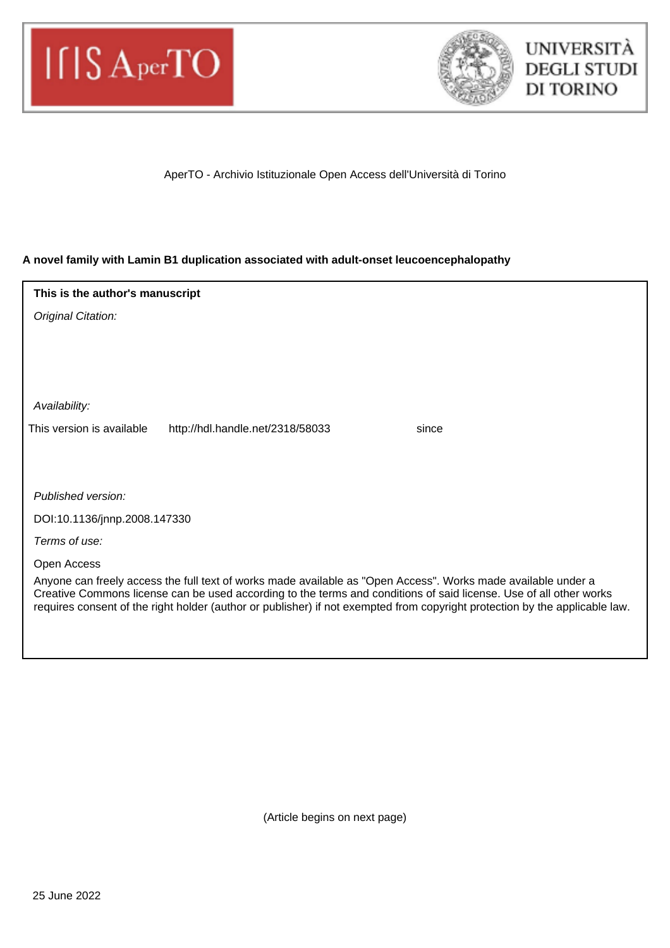



## AperTO - Archivio Istituzionale Open Access dell'Università di Torino

## **A novel family with Lamin B1 duplication associated with adult-onset leucoencephalopathy**

| This is the author's manuscript                                                                                                                                                                                                                                                                                                                                    |  |  |  |  |  |  |  |  |  |  |
|--------------------------------------------------------------------------------------------------------------------------------------------------------------------------------------------------------------------------------------------------------------------------------------------------------------------------------------------------------------------|--|--|--|--|--|--|--|--|--|--|
| Original Citation:                                                                                                                                                                                                                                                                                                                                                 |  |  |  |  |  |  |  |  |  |  |
|                                                                                                                                                                                                                                                                                                                                                                    |  |  |  |  |  |  |  |  |  |  |
|                                                                                                                                                                                                                                                                                                                                                                    |  |  |  |  |  |  |  |  |  |  |
|                                                                                                                                                                                                                                                                                                                                                                    |  |  |  |  |  |  |  |  |  |  |
| Availability:                                                                                                                                                                                                                                                                                                                                                      |  |  |  |  |  |  |  |  |  |  |
| This version is available<br>http://hdl.handle.net/2318/58033<br>since                                                                                                                                                                                                                                                                                             |  |  |  |  |  |  |  |  |  |  |
|                                                                                                                                                                                                                                                                                                                                                                    |  |  |  |  |  |  |  |  |  |  |
|                                                                                                                                                                                                                                                                                                                                                                    |  |  |  |  |  |  |  |  |  |  |
| Published version:                                                                                                                                                                                                                                                                                                                                                 |  |  |  |  |  |  |  |  |  |  |
| DOI:10.1136/jnnp.2008.147330                                                                                                                                                                                                                                                                                                                                       |  |  |  |  |  |  |  |  |  |  |
| Terms of use:                                                                                                                                                                                                                                                                                                                                                      |  |  |  |  |  |  |  |  |  |  |
| Open Access                                                                                                                                                                                                                                                                                                                                                        |  |  |  |  |  |  |  |  |  |  |
| Anyone can freely access the full text of works made available as "Open Access". Works made available under a<br>Creative Commons license can be used according to the terms and conditions of said license. Use of all other works<br>requires consent of the right holder (author or publisher) if not exempted from copyright protection by the applicable law. |  |  |  |  |  |  |  |  |  |  |
|                                                                                                                                                                                                                                                                                                                                                                    |  |  |  |  |  |  |  |  |  |  |
|                                                                                                                                                                                                                                                                                                                                                                    |  |  |  |  |  |  |  |  |  |  |

(Article begins on next page)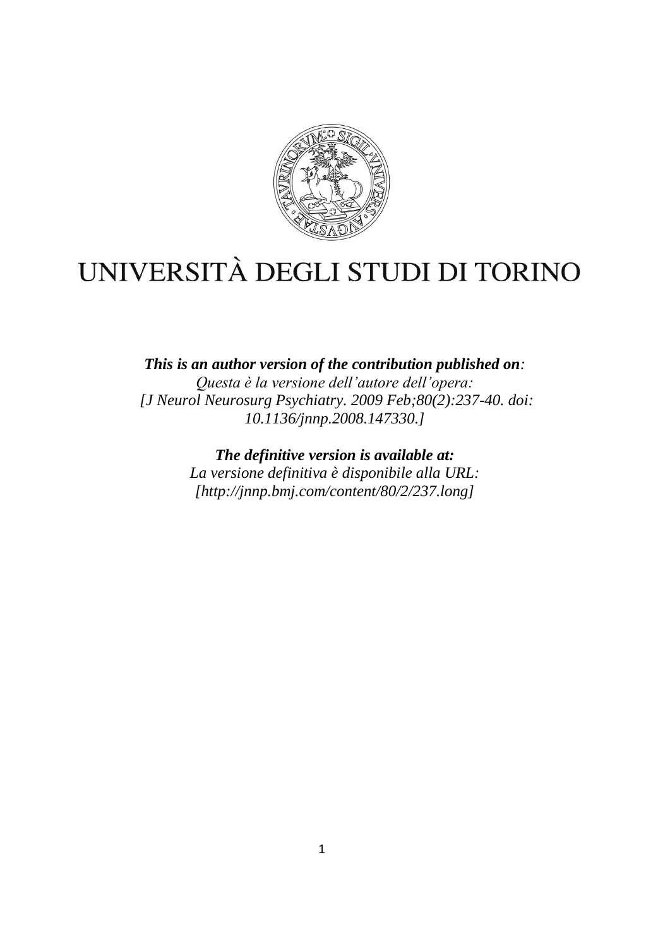

# UNIVERSITÀ DEGLI STUDI DI TORINO

*This is an author version of the contribution published on: Questa è la versione dell'autore dell'opera: [J Neurol Neurosurg Psychiatry. 2009 Feb;80(2):237-40. doi: 10.1136/jnnp.2008.147330.]*

> *The definitive version is available at: La versione definitiva è disponibile alla URL: [http://jnnp.bmj.com/content/80/2/237.long]*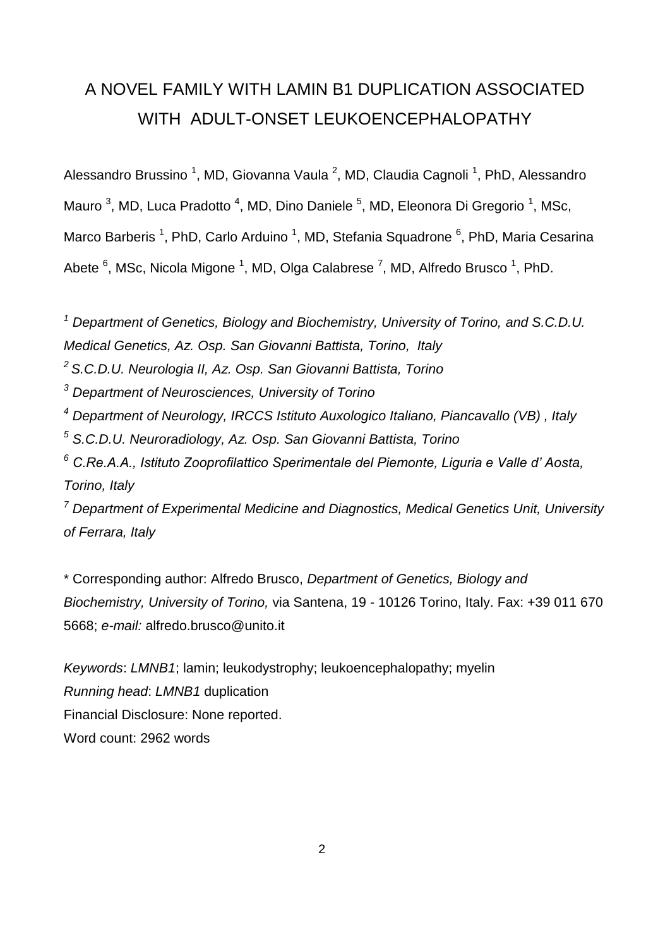## A NOVEL FAMILY WITH LAMIN B1 DUPLICATION ASSOCIATED WITH ADULT-ONSET LEUKOENCEPHALOPATHY

Alessandro Brussino<sup>1</sup>, MD, Giovanna Vaula<sup>2</sup>, MD, Claudia Cagnoli<sup>1</sup>, PhD, Alessandro Mauro<sup>3</sup>, MD, Luca Pradotto<sup>4</sup>, MD, Dino Daniele<sup>5</sup>, MD, Eleonora Di Gregorio<sup>1</sup>, MSc, Marco Barberis<sup>1</sup>, PhD, Carlo Arduino<sup>1</sup>, MD, Stefania Squadrone<sup>6</sup>, PhD, Maria Cesarina Abete <sup>6</sup>, MSc, Nicola Migone <sup>1</sup>, MD, Olga Calabrese <sup>7</sup>, MD, Alfredo Brusco <sup>1</sup>, PhD.

*<sup>1</sup> Department of Genetics, Biology and Biochemistry, University of Torino, and S.C.D.U. Medical Genetics, Az. Osp. San Giovanni Battista, Torino, Italy*

*<sup>2</sup>S.C.D.U. Neurologia II, Az. Osp. San Giovanni Battista, Torino*

*<sup>3</sup> Department of Neurosciences, University of Torino*

*<sup>4</sup> Department of Neurology, IRCCS Istituto Auxologico Italiano, Piancavallo (VB) , Italy*

*<sup>5</sup> S.C.D.U. Neuroradiology, Az. Osp. San Giovanni Battista, Torino*

*<sup>6</sup> C.Re.A.A., Istituto Zooprofilattico Sperimentale del Piemonte, Liguria e Valle d' Aosta, Torino, Italy*

*<sup>7</sup> Department of Experimental Medicine and Diagnostics, Medical Genetics Unit, University of Ferrara, Italy* 

\* Corresponding author: Alfredo Brusco, *Department of Genetics, Biology and Biochemistry, University of Torino,* via Santena, 19 - 10126 Torino, Italy. Fax: +39 011 670 5668; *e-mail:* alfredo.brusco@unito.it

*Keywords*: *LMNB1*; lamin; leukodystrophy; leukoencephalopathy; myelin *Running head*: *LMNB1* duplication Financial Disclosure: None reported. Word count: 2962 words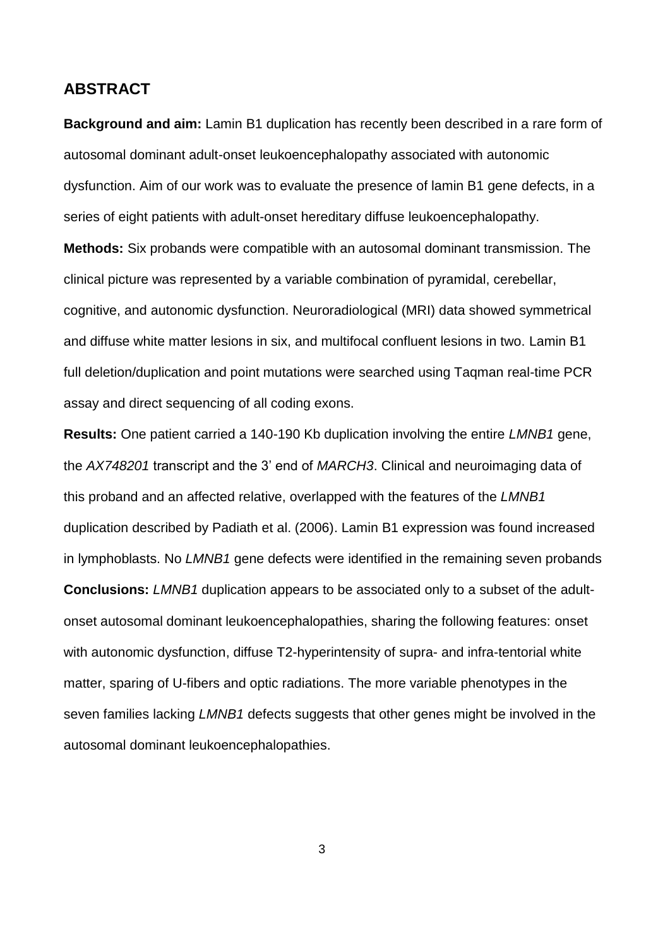## **ABSTRACT**

**Background and aim:** Lamin B1 duplication has recently been described in a rare form of autosomal dominant adult-onset leukoencephalopathy associated with autonomic dysfunction. Aim of our work was to evaluate the presence of lamin B1 gene defects, in a series of eight patients with adult-onset hereditary diffuse leukoencephalopathy. **Methods:** Six probands were compatible with an autosomal dominant transmission. The clinical picture was represented by a variable combination of pyramidal, cerebellar, cognitive, and autonomic dysfunction. Neuroradiological (MRI) data showed symmetrical and diffuse white matter lesions in six, and multifocal confluent lesions in two. Lamin B1 full deletion/duplication and point mutations were searched using Taqman real-time PCR assay and direct sequencing of all coding exons.

**Results:** One patient carried a 140-190 Kb duplication involving the entire *LMNB1* gene, the *AX748201* transcript and the 3' end of *MARCH3*. Clinical and neuroimaging data of this proband and an affected relative, overlapped with the features of the *LMNB1* duplication described by Padiath et al. (2006). Lamin B1 expression was found increased in lymphoblasts. No *LMNB1* gene defects were identified in the remaining seven probands **Conclusions:** *LMNB1* duplication appears to be associated only to a subset of the adultonset autosomal dominant leukoencephalopathies, sharing the following features: onset with autonomic dysfunction, diffuse T2-hyperintensity of supra- and infra-tentorial white matter, sparing of U-fibers and optic radiations. The more variable phenotypes in the seven families lacking *LMNB1* defects suggests that other genes might be involved in the autosomal dominant leukoencephalopathies.

3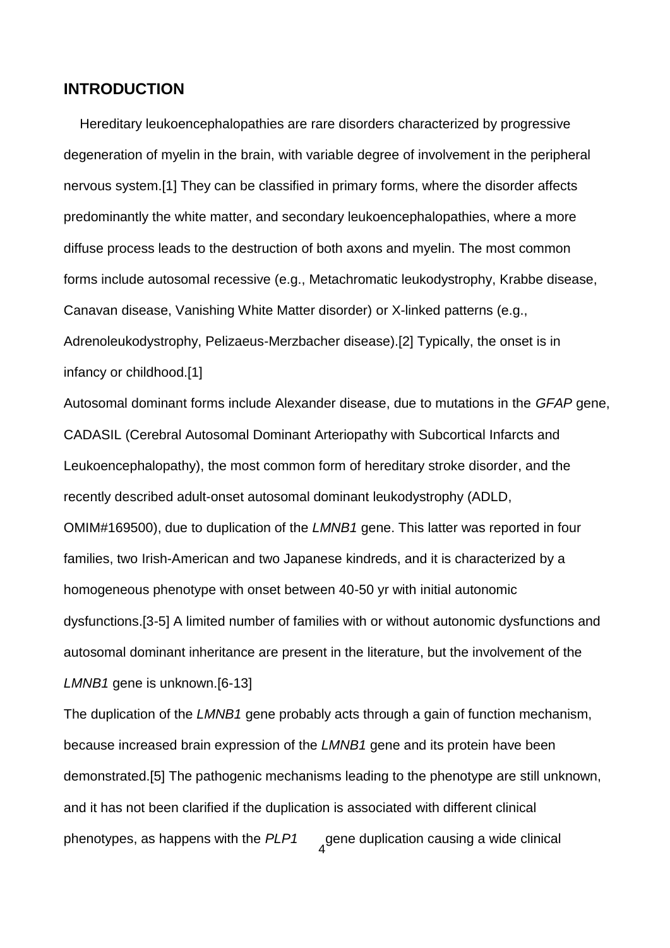## **INTRODUCTION**

Hereditary leukoencephalopathies are rare disorders characterized by progressive degeneration of myelin in the brain, with variable degree of involvement in the peripheral nervous system.[1] They can be classified in primary forms, where the disorder affects predominantly the white matter, and secondary leukoencephalopathies, where a more diffuse process leads to the destruction of both axons and myelin. The most common forms include autosomal recessive (e.g., Metachromatic leukodystrophy, Krabbe disease, Canavan disease, Vanishing White Matter disorder) or X-linked patterns (e.g., Adrenoleukodystrophy, Pelizaeus-Merzbacher disease).[2] Typically, the onset is in infancy or childhood.[1]

Autosomal dominant forms include Alexander disease, due to mutations in the *GFAP* gene, CADASIL (Cerebral Autosomal Dominant Arteriopathy with Subcortical Infarcts and Leukoencephalopathy), the most common form of hereditary stroke disorder, and the recently described adult-onset autosomal dominant leukodystrophy (ADLD, OMIM#169500), due to duplication of the *LMNB1* gene. This latter was reported in four families, two Irish-American and two Japanese kindreds, and it is characterized by a homogeneous phenotype with onset between 40-50 yr with initial autonomic dysfunctions.[3-5] A limited number of families with or without autonomic dysfunctions and autosomal dominant inheritance are present in the literature, but the involvement of the *LMNB1* gene is unknown.[6-13]

4 The duplication of the *LMNB1* gene probably acts through a gain of function mechanism, because increased brain expression of the *LMNB1* gene and its protein have been demonstrated.[5] The pathogenic mechanisms leading to the phenotype are still unknown, and it has not been clarified if the duplication is associated with different clinical phenotypes, as happens with the *PLP1* gene duplication causing a wide clinical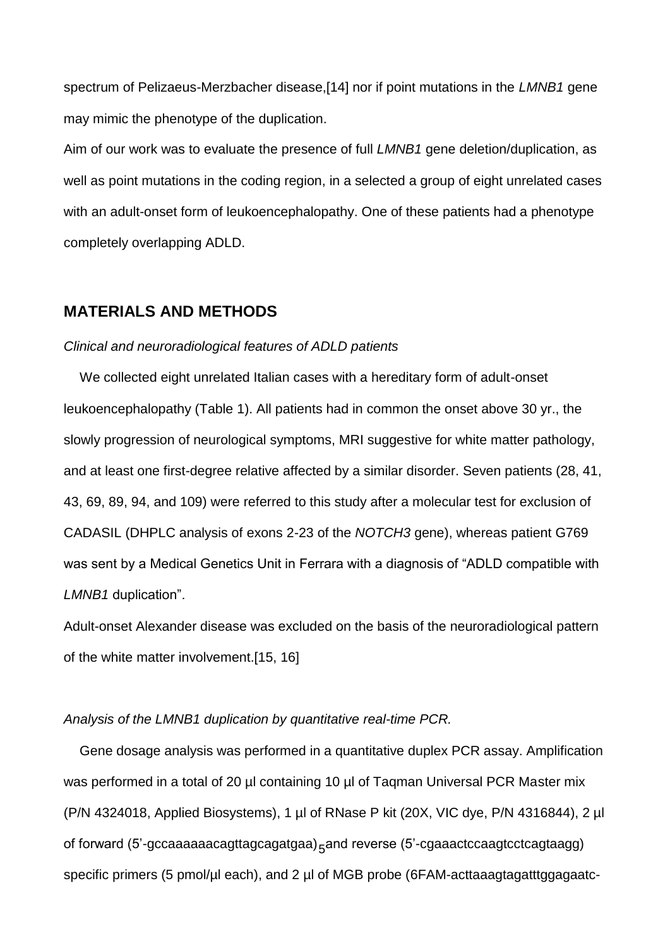spectrum of Pelizaeus-Merzbacher disease,[14] nor if point mutations in the *LMNB1* gene may mimic the phenotype of the duplication.

Aim of our work was to evaluate the presence of full *LMNB1* gene deletion/duplication, as well as point mutations in the coding region, in a selected a group of eight unrelated cases with an adult-onset form of leukoencephalopathy. One of these patients had a phenotype completely overlapping ADLD.

## **MATERIALS AND METHODS**

## *Clinical and neuroradiological features of ADLD patients*

We collected eight unrelated Italian cases with a hereditary form of adult-onset leukoencephalopathy (Table 1). All patients had in common the onset above 30 yr., the slowly progression of neurological symptoms, MRI suggestive for white matter pathology, and at least one first-degree relative affected by a similar disorder. Seven patients (28, 41, 43, 69, 89, 94, and 109) were referred to this study after a molecular test for exclusion of CADASIL (DHPLC analysis of exons 2-23 of the *NOTCH3* gene), whereas patient G769 was sent by a Medical Genetics Unit in Ferrara with a diagnosis of "ADLD compatible with *LMNB1* duplication".

Adult-onset Alexander disease was excluded on the basis of the neuroradiological pattern of the white matter involvement.[15, 16]

## *Analysis of the LMNB1 duplication by quantitative real-time PCR.*

of forward (5'-gccaaaaaacagttagcagatgaa)<sub>5</sub>and reverse (5'-cgaaactccaagtcctcagtaagg) Gene dosage analysis was performed in a quantitative duplex PCR assay. Amplification was performed in a total of 20 µl containing 10 µl of Tagman Universal PCR Master mix (P/N 4324018, Applied Biosystems), 1 µl of RNase P kit (20X, VIC dye, P/N 4316844), 2 µl specific primers (5 pmol/µl each), and 2 µl of MGB probe (6FAM-acttaaagtagatttggagaatc-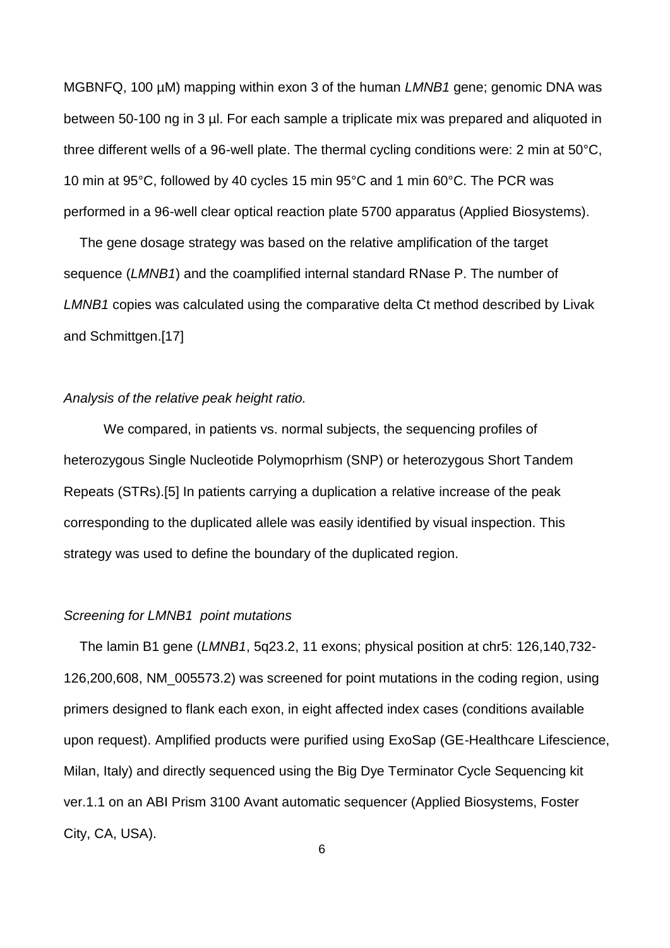MGBNFQ, 100 µM) mapping within exon 3 of the human *LMNB1* gene; genomic DNA was between 50-100 ng in 3 µl. For each sample a triplicate mix was prepared and aliquoted in three different wells of a 96-well plate. The thermal cycling conditions were: 2 min at 50°C, 10 min at 95°C, followed by 40 cycles 15 min 95°C and 1 min 60°C. The PCR was performed in a 96-well clear optical reaction plate 5700 apparatus (Applied Biosystems).

The gene dosage strategy was based on the relative amplification of the target sequence (*LMNB1*) and the coamplified internal standard RNase P. The number of *LMNB1* copies was calculated using the comparative delta Ct method described by Livak and Schmittgen.[17]

## *Analysis of the relative peak height ratio.*

We compared, in patients vs. normal subjects, the sequencing profiles of heterozygous Single Nucleotide Polymoprhism (SNP) or heterozygous Short Tandem Repeats (STRs).[5] In patients carrying a duplication a relative increase of the peak corresponding to the duplicated allele was easily identified by visual inspection. This strategy was used to define the boundary of the duplicated region.

#### *Screening for LMNB1 point mutations*

The lamin B1 gene (*LMNB1*, 5q23.2, 11 exons; physical position at chr5: 126,140,732- 126,200,608, NM\_005573.2) was screened for point mutations in the coding region, using primers designed to flank each exon, in eight affected index cases (conditions available upon request). Amplified products were purified using ExoSap (GE-Healthcare Lifescience, Milan, Italy) and directly sequenced using the Big Dye Terminator Cycle Sequencing kit ver.1.1 on an ABI Prism 3100 Avant automatic sequencer (Applied Biosystems, Foster City, CA, USA).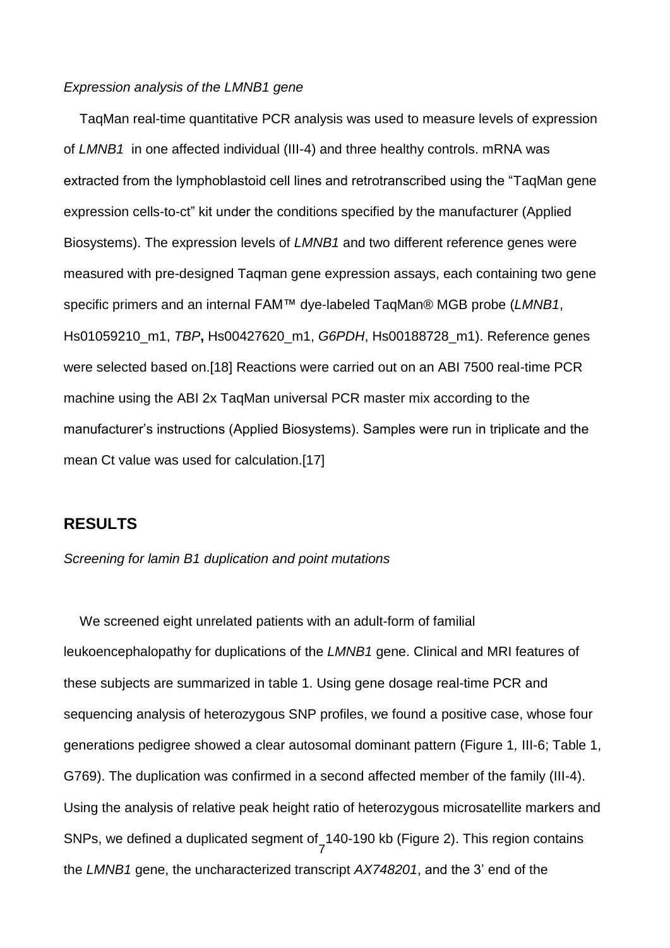## *Expression analysis of the LMNB1 gene*

TaqMan real-time quantitative PCR analysis was used to measure levels of expression of *LMNB1* in one affected individual (III-4) and three healthy controls. mRNA was extracted from the lymphoblastoid cell lines and retrotranscribed using the "TaqMan gene expression cells-to-ct" kit under the conditions specified by the manufacturer (Applied Biosystems). The expression levels of *LMNB1* and two different reference genes were measured with pre-designed Taqman gene expression assays, each containing two gene specific primers and an internal FAM™ dye-labeled TaqMan® MGB probe (*LMNB1*, Hs01059210\_m1, *TBP***,** Hs00427620\_m1, *G6PDH*, Hs00188728\_m1). Reference genes were selected based on.[18] Reactions were carried out on an ABI 7500 real-time PCR machine using the ABI 2x TaqMan universal PCR master mix according to the manufacturer's instructions (Applied Biosystems). Samples were run in triplicate and the mean Ct value was used for calculation.[17]

## **RESULTS**

#### *Screening for lamin B1 duplication and point mutations*

7 We screened eight unrelated patients with an adult-form of familial leukoencephalopathy for duplications of the *LMNB1* gene. Clinical and MRI features of these subjects are summarized in table 1. Using gene dosage real-time PCR and sequencing analysis of heterozygous SNP profiles, we found a positive case, whose four generations pedigree showed a clear autosomal dominant pattern (Figure 1*,* III-6; Table 1, G769). The duplication was confirmed in a second affected member of the family (III-4). Using the analysis of relative peak height ratio of heterozygous microsatellite markers and SNPs, we defined a duplicated segment of 140-190 kb (Figure 2). This region contains the *LMNB1* gene, the uncharacterized transcript *AX748201*, and the 3' end of the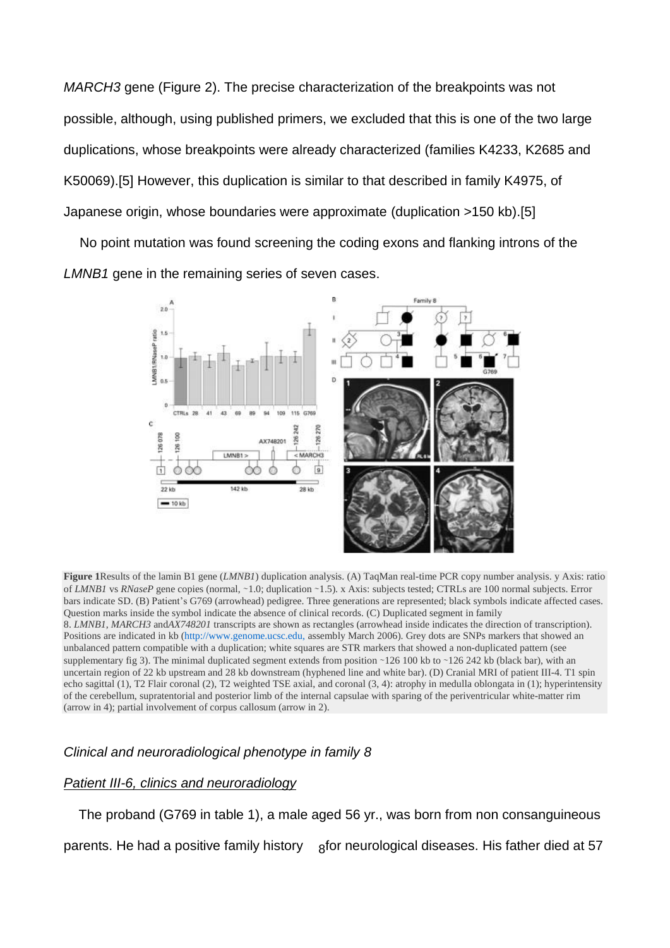*MARCH3* gene (Figure 2). The precise characterization of the breakpoints was not possible, although, using published primers, we excluded that this is one of the two large duplications, whose breakpoints were already characterized (families K4233, K2685 and K50069).[5] However, this duplication is similar to that described in family K4975, of Japanese origin, whose boundaries were approximate (duplication >150 kb).[5]

No point mutation was found screening the coding exons and flanking introns of the *LMNB1* gene in the remaining series of seven cases.



**Figure 1**Results of the lamin B1 gene (*LMNB1*) duplication analysis. (A) TaqMan real-time PCR copy number analysis. y Axis: ratio of *LMNB1* vs *RNaseP* gene copies (normal, ∼1.0; duplication ∼1.5). x Axis: subjects tested; CTRLs are 100 normal subjects. Error bars indicate SD. (B) Patient's G769 (arrowhead) pedigree. Three generations are represented; black symbols indicate affected cases. Question marks inside the symbol indicate the absence of clinical records. (C) Duplicated segment in family 8. *LMNB1*, *MARCH3* and*AX748201* transcripts are shown as rectangles (arrowhead inside indicates the direction of transcription). Positions are indicated in kb (http://www.genome.ucsc.edu, assembly March 2006). Grey dots are SNPs markers that showed an unbalanced pattern compatible with a duplication; white squares are STR markers that showed a non-duplicated pattern (see supplementary fig 3). The minimal duplicated segment extends from position ∼126 100 kb to ∼126 242 kb (black bar), with an uncertain region of 22 kb upstream and 28 kb downstream (hyphened line and white bar). (D) Cranial MRI of patient III-4. T1 spin echo sagittal (1), T2 Flair coronal (2), T2 weighted TSE axial, and coronal (3, 4): atrophy in medulla oblongata in (1); hyperintensity of the cerebellum, supratentorial and posterior limb of the internal capsulae with sparing of the periventricular white-matter rim (arrow in 4); partial involvement of corpus callosum (arrow in 2).

## *Clinical and neuroradiological phenotype in family 8*

## *Patient III-6, clinics and neuroradiology*

parents. He had a positive family history bafor neurological diseases. His father died at 57 The proband (G769 in table 1), a male aged 56 yr., was born from non consanguineous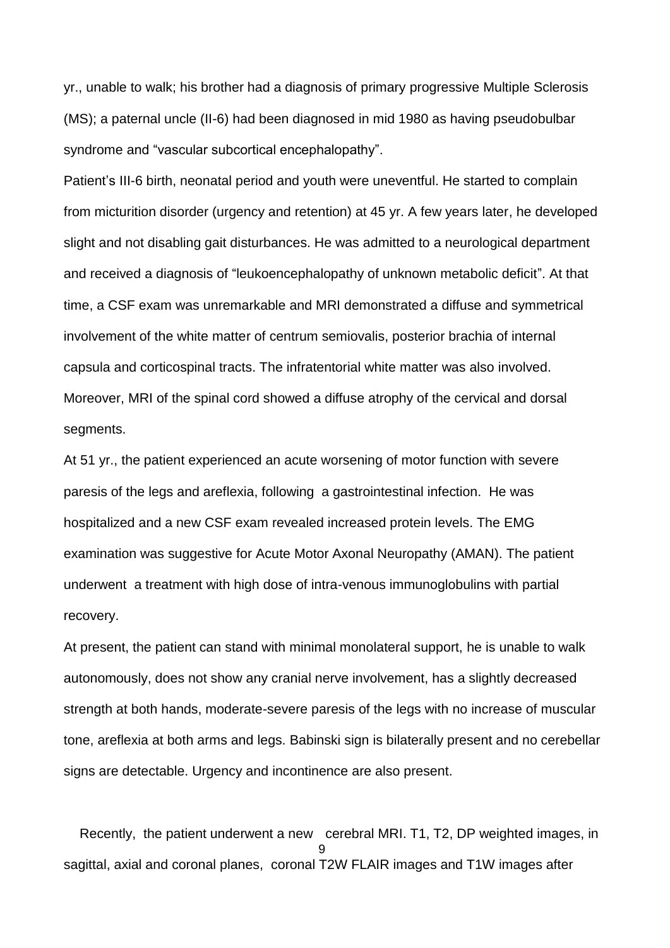yr., unable to walk; his brother had a diagnosis of primary progressive Multiple Sclerosis (MS); a paternal uncle (II-6) had been diagnosed in mid 1980 as having pseudobulbar syndrome and "vascular subcortical encephalopathy".

Patient's III-6 birth, neonatal period and youth were uneventful. He started to complain from micturition disorder (urgency and retention) at 45 yr. A few years later, he developed slight and not disabling gait disturbances. He was admitted to a neurological department and received a diagnosis of "leukoencephalopathy of unknown metabolic deficit". At that time, a CSF exam was unremarkable and MRI demonstrated a diffuse and symmetrical involvement of the white matter of centrum semiovalis, posterior brachia of internal capsula and corticospinal tracts. The infratentorial white matter was also involved. Moreover, MRI of the spinal cord showed a diffuse atrophy of the cervical and dorsal segments.

At 51 yr., the patient experienced an acute worsening of motor function with severe paresis of the legs and areflexia, following a gastrointestinal infection. He was hospitalized and a new CSF exam revealed increased protein levels. The EMG examination was suggestive for Acute Motor Axonal Neuropathy (AMAN). The patient underwent a treatment with high dose of intra-venous immunoglobulins with partial recovery.

At present, the patient can stand with minimal monolateral support, he is unable to walk autonomously, does not show any cranial nerve involvement, has a slightly decreased strength at both hands, moderate-severe paresis of the legs with no increase of muscular tone, areflexia at both arms and legs. Babinski sign is bilaterally present and no cerebellar signs are detectable. Urgency and incontinence are also present.

9 Recently, the patient underwent a new cerebral MRI. T1, T2, DP weighted images, in sagittal, axial and coronal planes, coronal T2W FLAIR images and T1W images after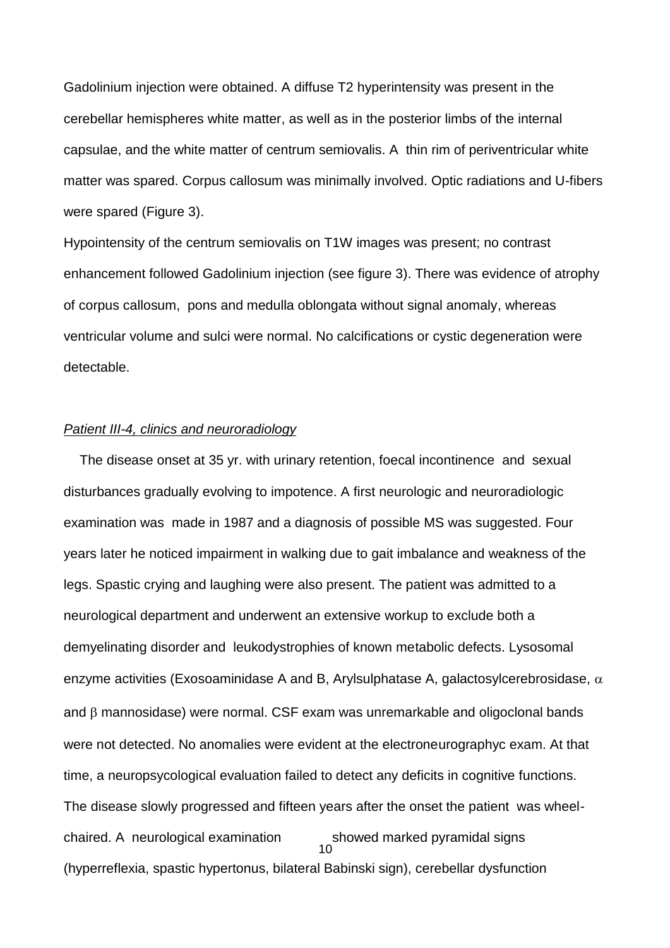Gadolinium injection were obtained. A diffuse T2 hyperintensity was present in the cerebellar hemispheres white matter, as well as in the posterior limbs of the internal capsulae, and the white matter of centrum semiovalis. A thin rim of periventricular white matter was spared. Corpus callosum was minimally involved. Optic radiations and U-fibers were spared (Figure 3).

Hypointensity of the centrum semiovalis on T1W images was present; no contrast enhancement followed Gadolinium injection (see figure 3). There was evidence of atrophy of corpus callosum, pons and medulla oblongata without signal anomaly, whereas ventricular volume and sulci were normal. No calcifications or cystic degeneration were detectable.

## *Patient III-4, clinics and neuroradiology*

10 The disease onset at 35 yr. with urinary retention, foecal incontinence and sexual disturbances gradually evolving to impotence. A first neurologic and neuroradiologic examination was made in 1987 and a diagnosis of possible MS was suggested. Four years later he noticed impairment in walking due to gait imbalance and weakness of the legs. Spastic crying and laughing were also present. The patient was admitted to a neurological department and underwent an extensive workup to exclude both a demyelinating disorder and leukodystrophies of known metabolic defects. Lysosomal enzyme activities (Exosoaminidase A and B, Arylsulphatase A, galactosylcerebrosidase,  $\alpha$ and  $\beta$  mannosidase) were normal. CSF exam was unremarkable and oligoclonal bands were not detected. No anomalies were evident at the electroneurographyc exam. At that time, a neuropsycological evaluation failed to detect any deficits in cognitive functions. The disease slowly progressed and fifteen years after the onset the patient was wheelchaired. A neurological examination showed marked pyramidal signs (hyperreflexia, spastic hypertonus, bilateral Babinski sign), cerebellar dysfunction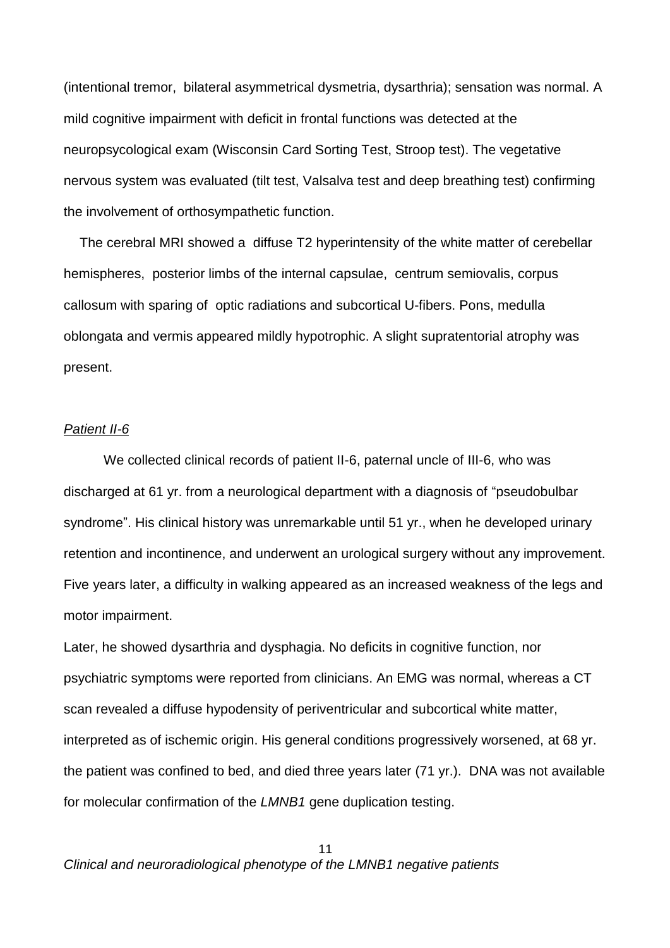(intentional tremor, bilateral asymmetrical dysmetria, dysarthria); sensation was normal. A mild cognitive impairment with deficit in frontal functions was detected at the neuropsycological exam (Wisconsin Card Sorting Test, Stroop test). The vegetative nervous system was evaluated (tilt test, Valsalva test and deep breathing test) confirming the involvement of orthosympathetic function.

The cerebral MRI showed a diffuse T2 hyperintensity of the white matter of cerebellar hemispheres, posterior limbs of the internal capsulae, centrum semiovalis, corpus callosum with sparing of optic radiations and subcortical U-fibers. Pons, medulla oblongata and vermis appeared mildly hypotrophic. A slight supratentorial atrophy was present.

## *Patient II-6*

We collected clinical records of patient II-6, paternal uncle of III-6, who was discharged at 61 yr. from a neurological department with a diagnosis of "pseudobulbar syndrome". His clinical history was unremarkable until 51 yr., when he developed urinary retention and incontinence, and underwent an urological surgery without any improvement. Five years later, a difficulty in walking appeared as an increased weakness of the legs and motor impairment.

Later, he showed dysarthria and dysphagia. No deficits in cognitive function, nor psychiatric symptoms were reported from clinicians. An EMG was normal, whereas a CT scan revealed a diffuse hypodensity of periventricular and subcortical white matter, interpreted as of ischemic origin. His general conditions progressively worsened, at 68 yr. the patient was confined to bed, and died three years later (71 yr.). DNA was not available for molecular confirmation of the *LMNB1* gene duplication testing.

11 *Clinical and neuroradiological phenotype of the LMNB1 negative patients*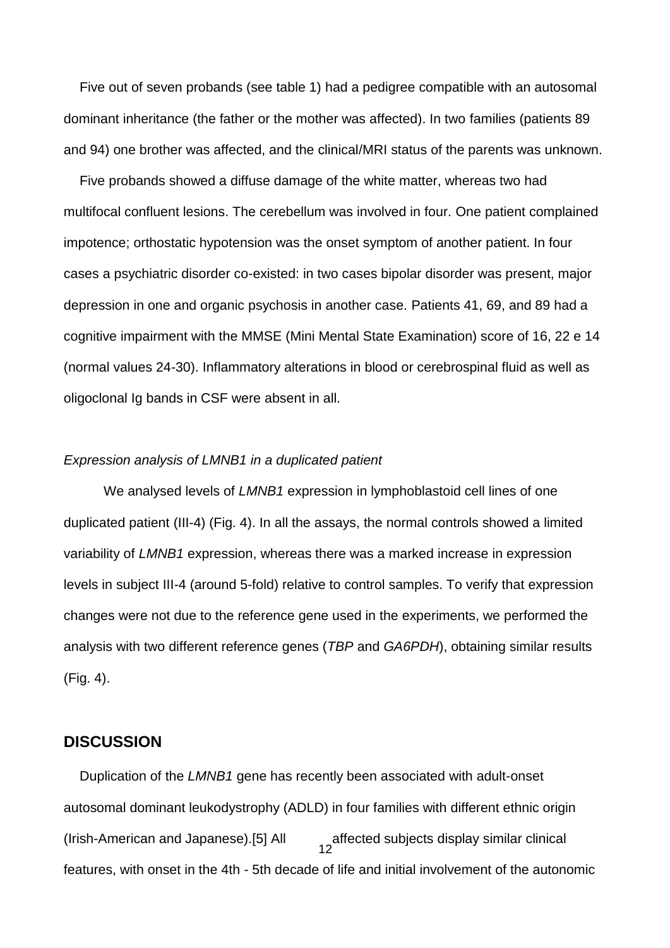Five out of seven probands (see table 1) had a pedigree compatible with an autosomal dominant inheritance (the father or the mother was affected). In two families (patients 89 and 94) one brother was affected, and the clinical/MRI status of the parents was unknown.

Five probands showed a diffuse damage of the white matter, whereas two had multifocal confluent lesions. The cerebellum was involved in four. One patient complained impotence; orthostatic hypotension was the onset symptom of another patient. In four cases a psychiatric disorder co-existed: in two cases bipolar disorder was present, major depression in one and organic psychosis in another case. Patients 41, 69, and 89 had a cognitive impairment with the MMSE (Mini Mental State Examination) score of 16, 22 e 14 (normal values 24-30). Inflammatory alterations in blood or cerebrospinal fluid as well as oligoclonal Ig bands in CSF were absent in all.

#### *Expression analysis of LMNB1 in a duplicated patient*

We analysed levels of *LMNB1* expression in lymphoblastoid cell lines of one duplicated patient (III-4) (Fig. 4). In all the assays, the normal controls showed a limited variability of *LMNB1* expression, whereas there was a marked increase in expression levels in subject III-4 (around 5-fold) relative to control samples. To verify that expression changes were not due to the reference gene used in the experiments, we performed the analysis with two different reference genes (*TBP* and *GA6PDH*), obtaining similar results (Fig. 4).

## **DISCUSSION**

12 Duplication of the *LMNB1* gene has recently been associated with adult-onset autosomal dominant leukodystrophy (ADLD) in four families with different ethnic origin (Irish-American and Japanese).[5] All affected subjects display similar clinical features, with onset in the 4th - 5th decade of life and initial involvement of the autonomic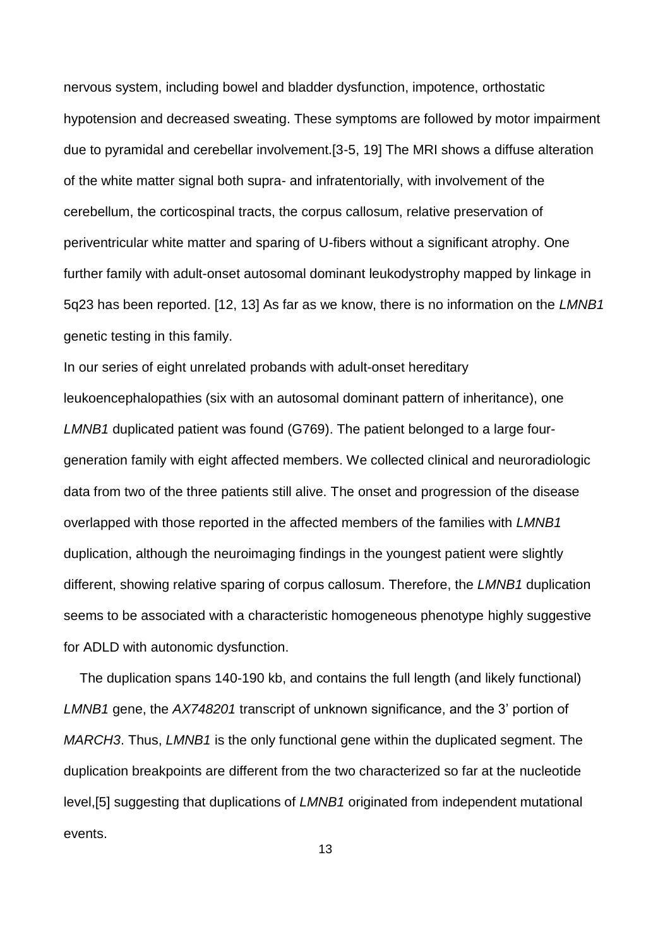nervous system, including bowel and bladder dysfunction, impotence, orthostatic hypotension and decreased sweating. These symptoms are followed by motor impairment due to pyramidal and cerebellar involvement.[3-5, 19] The MRI shows a diffuse alteration of the white matter signal both supra- and infratentorially, with involvement of the cerebellum, the corticospinal tracts, the corpus callosum, relative preservation of periventricular white matter and sparing of U-fibers without a significant atrophy. One further family with adult-onset autosomal dominant leukodystrophy mapped by linkage in 5q23 has been reported. [12, 13] As far as we know, there is no information on the *LMNB1* genetic testing in this family.

In our series of eight unrelated probands with adult-onset hereditary leukoencephalopathies (six with an autosomal dominant pattern of inheritance), one *LMNB1* duplicated patient was found (G769). The patient belonged to a large fourgeneration family with eight affected members. We collected clinical and neuroradiologic data from two of the three patients still alive. The onset and progression of the disease overlapped with those reported in the affected members of the families with *LMNB1* duplication, although the neuroimaging findings in the youngest patient were slightly different, showing relative sparing of corpus callosum. Therefore, the *LMNB1* duplication seems to be associated with a characteristic homogeneous phenotype highly suggestive for ADLD with autonomic dysfunction.

The duplication spans 140-190 kb, and contains the full length (and likely functional) *LMNB1* gene, the *AX748201* transcript of unknown significance, and the 3' portion of *MARCH3*. Thus, *LMNB1* is the only functional gene within the duplicated segment. The duplication breakpoints are different from the two characterized so far at the nucleotide level,[5] suggesting that duplications of *LMNB1* originated from independent mutational events.

13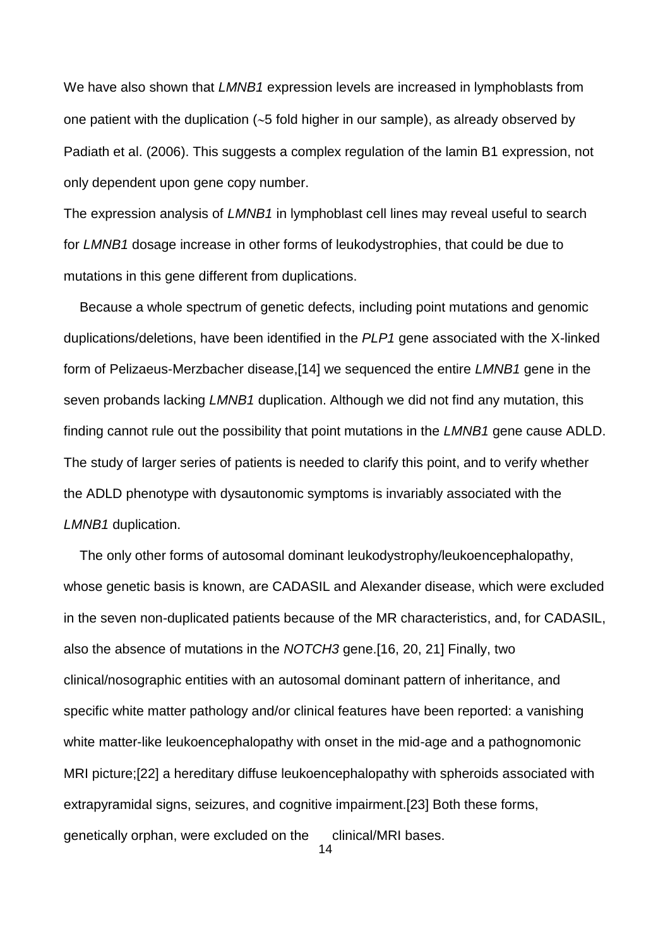We have also shown that *LMNB1* expression levels are increased in lymphoblasts from one patient with the duplication  $(-5)$  fold higher in our sample), as already observed by Padiath et al. (2006). This suggests a complex regulation of the lamin B1 expression, not only dependent upon gene copy number.

The expression analysis of *LMNB1* in lymphoblast cell lines may reveal useful to search for *LMNB1* dosage increase in other forms of leukodystrophies, that could be due to mutations in this gene different from duplications.

Because a whole spectrum of genetic defects, including point mutations and genomic duplications/deletions, have been identified in the *PLP1* gene associated with the X-linked form of Pelizaeus-Merzbacher disease,[14] we sequenced the entire *LMNB1* gene in the seven probands lacking *LMNB1* duplication. Although we did not find any mutation, this finding cannot rule out the possibility that point mutations in the *LMNB1* gene cause ADLD. The study of larger series of patients is needed to clarify this point, and to verify whether the ADLD phenotype with dysautonomic symptoms is invariably associated with the *LMNB1* duplication.

The only other forms of autosomal dominant leukodystrophy/leukoencephalopathy, whose genetic basis is known, are CADASIL and Alexander disease, which were excluded in the seven non-duplicated patients because of the MR characteristics, and, for CADASIL, also the absence of mutations in the *NOTCH3* gene.[16, 20, 21] Finally, two clinical/nosographic entities with an autosomal dominant pattern of inheritance, and specific white matter pathology and/or clinical features have been reported: a vanishing white matter-like leukoencephalopathy with onset in the mid-age and a pathognomonic MRI picture;[22] a hereditary diffuse leukoencephalopathy with spheroids associated with extrapyramidal signs, seizures, and cognitive impairment.[23] Both these forms, genetically orphan, were excluded on the clinical/MRI bases.

14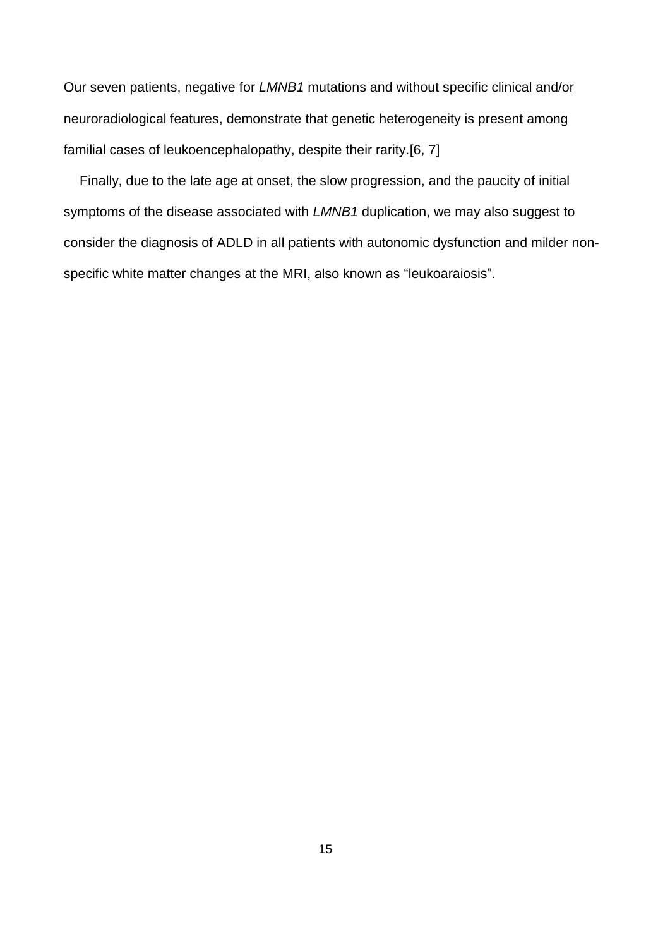Our seven patients, negative for *LMNB1* mutations and without specific clinical and/or neuroradiological features, demonstrate that genetic heterogeneity is present among familial cases of leukoencephalopathy, despite their rarity.[6, 7]

Finally, due to the late age at onset, the slow progression, and the paucity of initial symptoms of the disease associated with *LMNB1* duplication, we may also suggest to consider the diagnosis of ADLD in all patients with autonomic dysfunction and milder nonspecific white matter changes at the MRI, also known as "leukoaraiosis".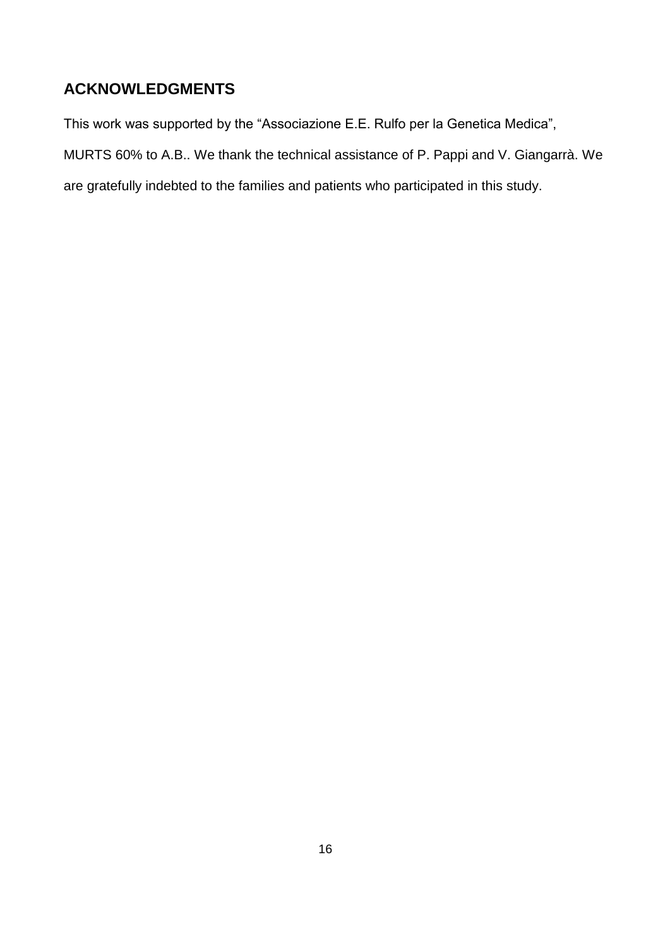## **ACKNOWLEDGMENTS**

This work was supported by the "Associazione E.E. Rulfo per la Genetica Medica",

MURTS 60% to A.B.. We thank the technical assistance of P. Pappi and V. Giangarrà. We

are gratefully indebted to the families and patients who participated in this study.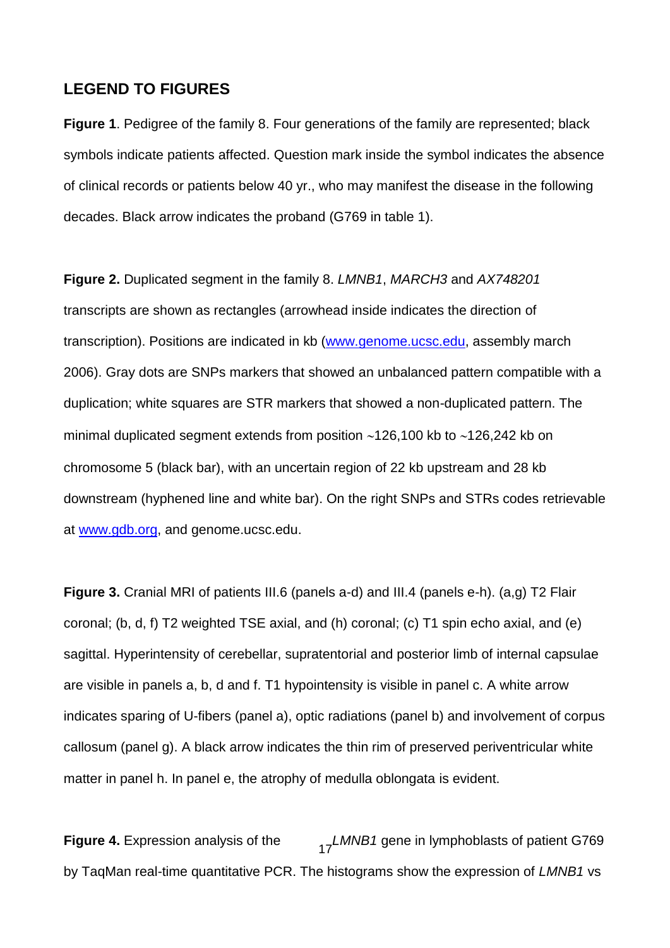## **LEGEND TO FIGURES**

**Figure 1**. Pedigree of the family 8. Four generations of the family are represented; black symbols indicate patients affected. Question mark inside the symbol indicates the absence of clinical records or patients below 40 yr., who may manifest the disease in the following decades. Black arrow indicates the proband (G769 in table 1).

**Figure 2.** Duplicated segment in the family 8. *LMNB1*, *MARCH3* and *AX748201* transcripts are shown as rectangles (arrowhead inside indicates the direction of transcription). Positions are indicated in kb [\(www.genome.ucsc.edu,](http://www.genome.ucsc.edu/) assembly march 2006). Gray dots are SNPs markers that showed an unbalanced pattern compatible with a duplication; white squares are STR markers that showed a non-duplicated pattern. The minimal duplicated segment extends from position  $~126,100$  kb to  $~126,242$  kb on chromosome 5 (black bar), with an uncertain region of 22 kb upstream and 28 kb downstream (hyphened line and white bar). On the right SNPs and STRs codes retrievable at [www.gdb.org,](http://www.gdb.org/) and genome.ucsc.edu.

**Figure 3.** Cranial MRI of patients III.6 (panels a-d) and III.4 (panels e-h). (a,g) T2 Flair coronal; (b, d, f) T2 weighted TSE axial, and (h) coronal; (c) T1 spin echo axial, and (e) sagittal. Hyperintensity of cerebellar, supratentorial and posterior limb of internal capsulae are visible in panels a, b, d and f. T1 hypointensity is visible in panel c. A white arrow indicates sparing of U-fibers (panel a), optic radiations (panel b) and involvement of corpus callosum (panel g). A black arrow indicates the thin rim of preserved periventricular white matter in panel h. In panel e, the atrophy of medulla oblongata is evident.

**Figure 4.** Expression analysis of the  $\frac{17}{17}$  LMNB1 gene in lymphoblasts of patient G769 by TaqMan real-time quantitative PCR. The histograms show the expression of *LMNB1* vs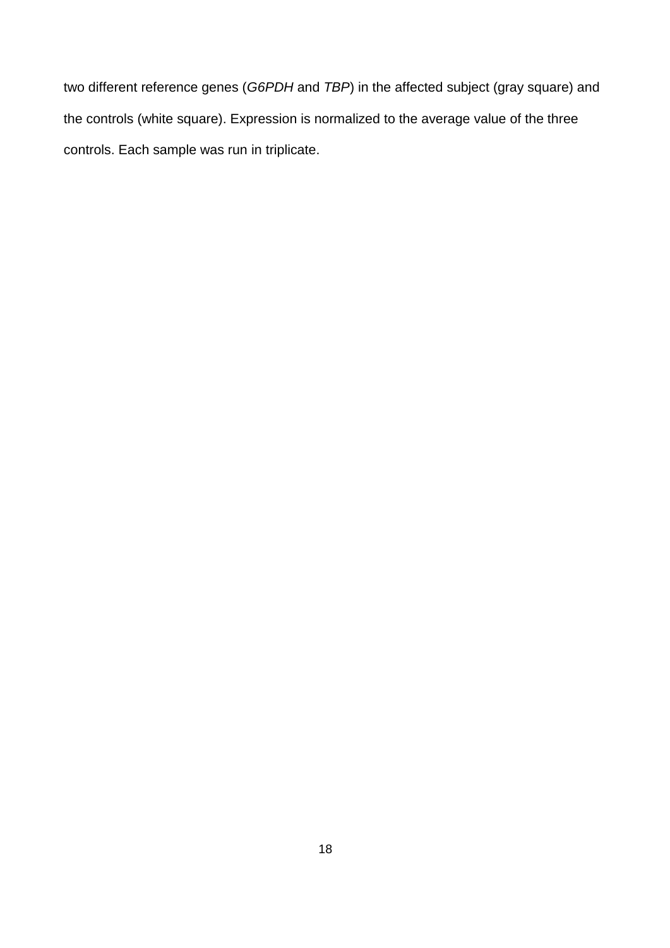two different reference genes (*G6PDH* and *TBP*) in the affected subject (gray square) and the controls (white square). Expression is normalized to the average value of the three controls. Each sample was run in triplicate.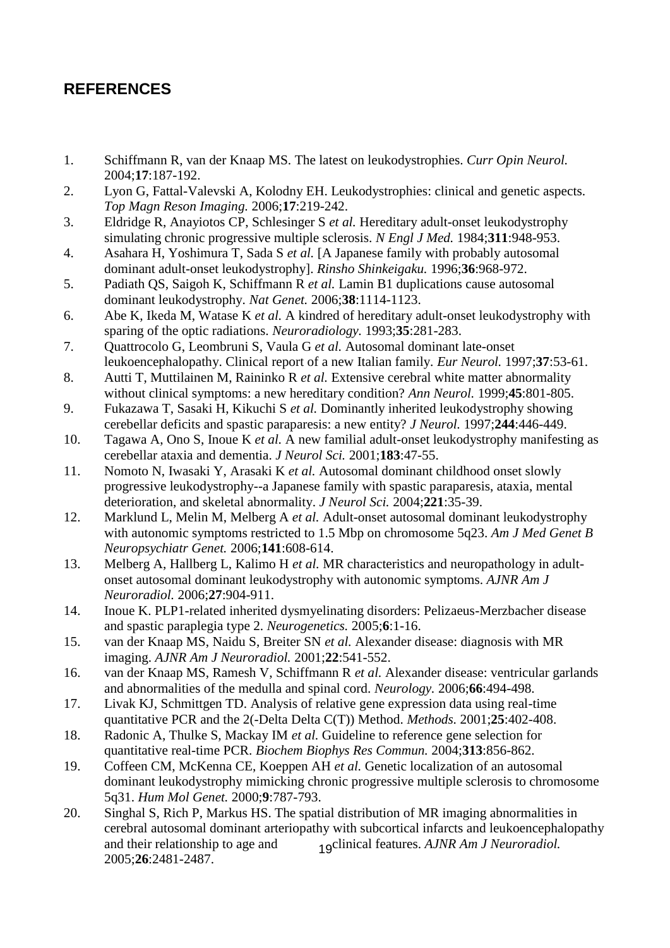## **REFERENCES**

- 1. Schiffmann R, van der Knaap MS. The latest on leukodystrophies. *Curr Opin Neurol.* 2004;**17**:187-192.
- 2. Lyon G, Fattal-Valevski A, Kolodny EH. Leukodystrophies: clinical and genetic aspects. *Top Magn Reson Imaging.* 2006;**17**:219-242.
- 3. Eldridge R, Anayiotos CP, Schlesinger S *et al.* Hereditary adult-onset leukodystrophy simulating chronic progressive multiple sclerosis. *N Engl J Med.* 1984;**311**:948-953.
- 4. Asahara H, Yoshimura T, Sada S *et al.* [A Japanese family with probably autosomal dominant adult-onset leukodystrophy]. *Rinsho Shinkeigaku.* 1996;**36**:968-972.
- 5. Padiath QS, Saigoh K, Schiffmann R *et al.* Lamin B1 duplications cause autosomal dominant leukodystrophy. *Nat Genet.* 2006;**38**:1114-1123.
- 6. Abe K, Ikeda M, Watase K *et al.* A kindred of hereditary adult-onset leukodystrophy with sparing of the optic radiations. *Neuroradiology.* 1993;**35**:281-283.
- 7. Quattrocolo G, Leombruni S, Vaula G *et al.* Autosomal dominant late-onset leukoencephalopathy. Clinical report of a new Italian family. *Eur Neurol.* 1997;**37**:53-61.
- 8. Autti T, Muttilainen M, Raininko R *et al.* Extensive cerebral white matter abnormality without clinical symptoms: a new hereditary condition? *Ann Neurol.* 1999;**45**:801-805.
- 9. Fukazawa T, Sasaki H, Kikuchi S *et al.* Dominantly inherited leukodystrophy showing cerebellar deficits and spastic paraparesis: a new entity? *J Neurol.* 1997;**244**:446-449.
- 10. Tagawa A, Ono S, Inoue K *et al.* A new familial adult-onset leukodystrophy manifesting as cerebellar ataxia and dementia. *J Neurol Sci.* 2001;**183**:47-55.
- 11. Nomoto N, Iwasaki Y, Arasaki K *et al.* Autosomal dominant childhood onset slowly progressive leukodystrophy--a Japanese family with spastic paraparesis, ataxia, mental deterioration, and skeletal abnormality. *J Neurol Sci.* 2004;**221**:35-39.
- 12. Marklund L, Melin M, Melberg A *et al.* Adult-onset autosomal dominant leukodystrophy with autonomic symptoms restricted to 1.5 Mbp on chromosome 5q23. *Am J Med Genet B Neuropsychiatr Genet.* 2006;**141**:608-614.
- 13. Melberg A, Hallberg L, Kalimo H *et al.* MR characteristics and neuropathology in adultonset autosomal dominant leukodystrophy with autonomic symptoms. *AJNR Am J Neuroradiol.* 2006;**27**:904-911.
- 14. Inoue K. PLP1-related inherited dysmyelinating disorders: Pelizaeus-Merzbacher disease and spastic paraplegia type 2. *Neurogenetics.* 2005;**6**:1-16.
- 15. van der Knaap MS, Naidu S, Breiter SN *et al.* Alexander disease: diagnosis with MR imaging. *AJNR Am J Neuroradiol.* 2001;**22**:541-552.
- 16. van der Knaap MS, Ramesh V, Schiffmann R *et al.* Alexander disease: ventricular garlands and abnormalities of the medulla and spinal cord. *Neurology.* 2006;**66**:494-498.
- 17. Livak KJ, Schmittgen TD. Analysis of relative gene expression data using real-time quantitative PCR and the 2(-Delta Delta C(T)) Method. *Methods.* 2001;**25**:402-408.
- 18. Radonic A, Thulke S, Mackay IM *et al.* Guideline to reference gene selection for quantitative real-time PCR. *Biochem Biophys Res Commun.* 2004;**313**:856-862.
- 19. Coffeen CM, McKenna CE, Koeppen AH *et al.* Genetic localization of an autosomal dominant leukodystrophy mimicking chronic progressive multiple sclerosis to chromosome 5q31. *Hum Mol Genet.* 2000;**9**:787-793.
- and their relationship to age and <br>19<sup>clinical features. *AJNR Am J Neuroradiol*.</sup> 20. Singhal S, Rich P, Markus HS. The spatial distribution of MR imaging abnormalities in cerebral autosomal dominant arteriopathy with subcortical infarcts and leukoencephalopathy 2005;**26**:2481-2487.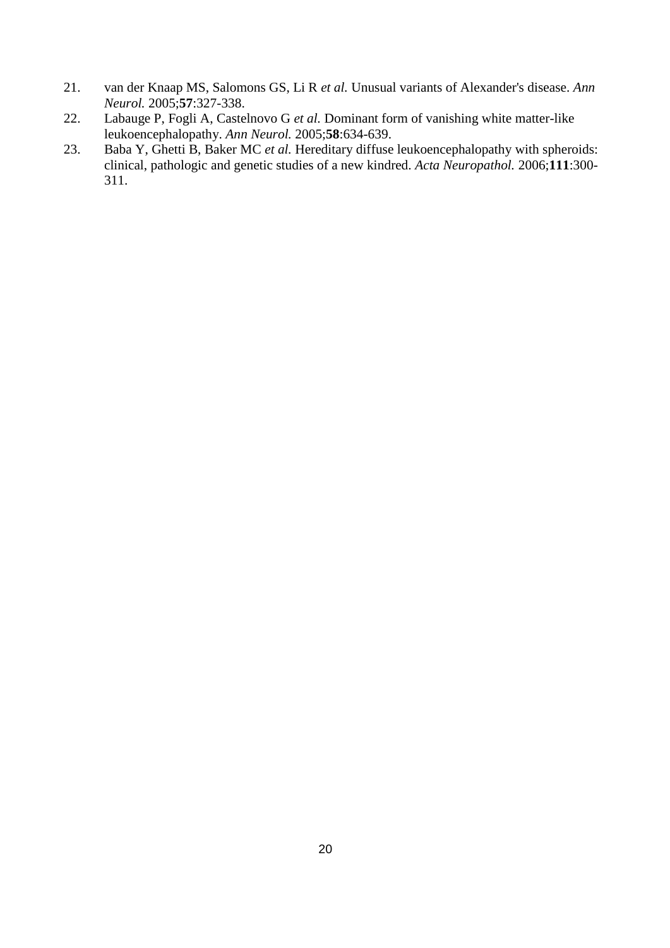- 21. van der Knaap MS, Salomons GS, Li R *et al.* Unusual variants of Alexander's disease. *Ann Neurol.* 2005;**57**:327-338.
- 22. Labauge P, Fogli A, Castelnovo G *et al.* Dominant form of vanishing white matter-like leukoencephalopathy. *Ann Neurol.* 2005;**58**:634-639.
- 23. Baba Y, Ghetti B, Baker MC *et al.* Hereditary diffuse leukoencephalopathy with spheroids: clinical, pathologic and genetic studies of a new kindred. *Acta Neuropathol.* 2006;**111**:300- 311.